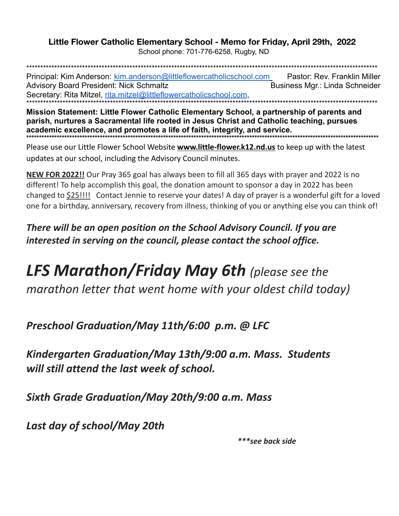## Little Flower Catholic Elementary School - Memo for Friday, April 29th, 2022

School phone: 701-776-6258, Rugby, ND

Principal: Kim Anderson: kim.anderson@littleflowercatholicschool.com Pastor: Rev. Franklin Miller **Advisory Board President: Nick Schmaltz** Business Mgr.: Linda Schneider Secretary: Rita Mitzel, rita.mitzel@littleflowercatholicschool.com.

Mission Statement: Little Flower Catholic Elementary School, a partnership of parents and parish, nurtures a Sacramental life rooted in Jesus Christ and Catholic teaching, pursues academic excellence, and promotes a life of faith, integrity, and service.

Please use our Little Flower School Website www.little-flower.k12.nd.us to keep up with the latest updates at our school, including the Advisory Council minutes.

NEW FOR 2022!! Our Pray 365 goal has always been to fill all 365 days with prayer and 2022 is no different! To help accomplish this goal, the donation amount to sponsor a day in 2022 has been changed to \$25!!!! Contact Jennie to reserve your dates! A day of prayer is a wonderful gift for a loved one for a birthday, anniversary, recovery from illness, thinking of you or anything else you can think of!

There will be an open position on the School Advisory Council. If you are interested in serving on the council, please contact the school office.

**LFS Marathon/Friday May 6th** (please see the marathon letter that went home with your oldest child today)

Preschool Graduation/May 11th/6:00 p.m. @ LFC

Kindergarten Graduation/May 13th/9:00 a.m. Mass. Students will still attend the last week of school.

Sixth Grade Graduation/May 20th/9:00 a.m. Mass

Last day of school/May 20th

\*\*\*see back side